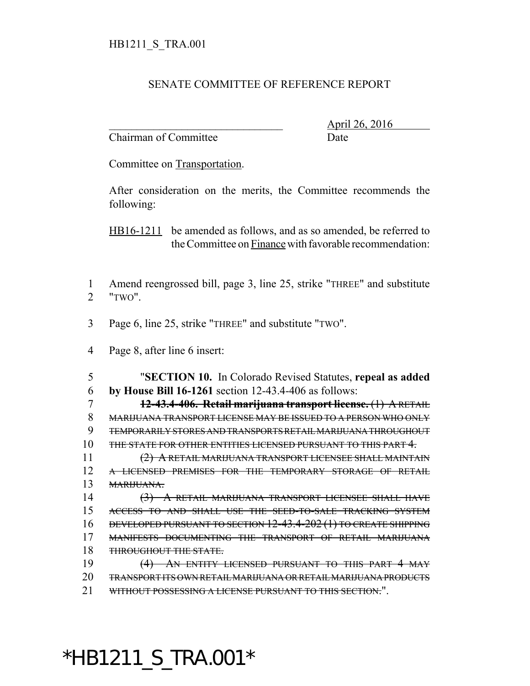## SENATE COMMITTEE OF REFERENCE REPORT

Chairman of Committee Date

\_\_\_\_\_\_\_\_\_\_\_\_\_\_\_\_\_\_\_\_\_\_\_\_\_\_\_\_\_\_\_ April 26, 2016

Committee on Transportation.

After consideration on the merits, the Committee recommends the following:

HB16-1211 be amended as follows, and as so amended, be referred to the Committee on Finance with favorable recommendation:

- Amend reengrossed bill, page 3, line 25, strike "THREE" and substitute "TWO".
- Page 6, line 25, strike "THREE" and substitute "TWO".
- Page 8, after line 6 insert:

 "**SECTION 10.** In Colorado Revised Statutes, **repeal as added by House Bill 16-1261** section 12-43.4-406 as follows:

 **12-43.4-406. Retail marijuana transport license.** (1) A RETAIL MARIJUANA TRANSPORT LICENSE MAY BE ISSUED TO A PERSON WHO ONLY TEMPORARILY STORES AND TRANSPORTS RETAIL MARIJUANA THROUGHOUT THE STATE FOR OTHER ENTITIES LICENSED PURSUANT TO THIS PART 4.

 (2) A RETAIL MARIJUANA TRANSPORT LICENSEE SHALL MAINTAIN A LICENSED PREMISES FOR THE TEMPORARY STORAGE OF RETAIL MARIJUANA.

 (3) A RETAIL MARIJUANA TRANSPORT LICENSEE SHALL HAVE ACCESS TO AND SHALL USE THE SEED-TO-SALE TRACKING SYSTEM DEVELOPED PURSUANT TO SECTION 12-43.4-202 (1) TO CREATE SHIPPING MANIFESTS DOCUMENTING THE TRANSPORT OF RETAIL MARIJUANA THROUGHOUT THE STATE.

 (4) AN ENTITY LICENSED PURSUANT TO THIS PART 4 MAY TRANSPORT ITS OWN RETAIL MARIJUANA OR RETAIL MARIJUANA PRODUCTS WITHOUT POSSESSING A LICENSE PURSUANT TO THIS SECTION.".

## \*HB1211\_S\_TRA.001\*